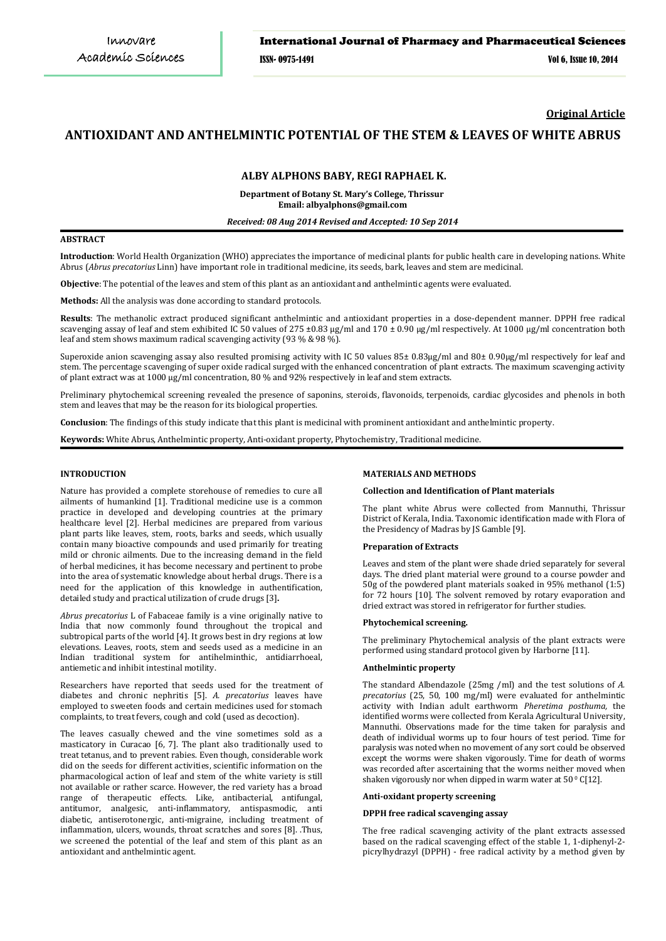**Original Article**

# **ANTIOXIDANT AND ANTHELMINTIC POTENTIAL OF THE STEM & LEAVES OF WHITE ABRUS**

## **ALBY ALPHONS BABY, REGI RAPHAEL K.**

**Department of Botany St. Mary's College, Thrissur Email: albyalphons@gmail.com**

#### *Received: 08 Aug 2014 Revised and Accepted: 10 Sep 2014*

# **ABSTRACT**

**Introduction**: World Health Organization (WHO) appreciates the importance of medicinal plants for public health care in developing nations. White Abrus (*Abrus precatorius* Linn) have important role in traditional medicine, its seeds, bark, leaves and stem are medicinal.

**Objective**: The potential of the leaves and stem of this plant as an antioxidant and anthelmintic agents were evaluated.

**Methods:** All the analysis was done according to standard protocols.

**Results**: The methanolic extract produced significant anthelmintic and antioxidant properties in a dose-dependent manner. DPPH free radical scavenging assay of leaf and stem exhibited IC 50 values of 275 ±0.83 μg/ml and 170 ± 0.90 μg/ml respectively. At 1000 μg/ml concentration both leaf and stem shows maximum radical scavenging activity (93 % & 98 %).

Superoxide anion scavenging assay also resulted promising activity with IC 50 values 85± 0.83μg/ml and 80± 0.90μg/ml respectively for leaf and stem. The percentage scavenging of super oxide radical surged with the enhanced concentration of plant extracts. The maximum scavenging activity of plant extract was at 1000 μg/ml concentration, 80 % and 92% respectively in leaf and stem extracts.

Preliminary phytochemical screening revealed the presence of saponins, steroids, flavonoids, terpenoids, cardiac glycosides and phenols in both stem and leaves that may be the reason for its biological properties.

**Conclusion**: The findings of this study indicate that this plant is medicinal with prominent antioxidant and anthelmintic property.

**Keywords:** White Abrus, Anthelmintic property, Anti-oxidant property, Phytochemistry, Traditional medicine.

# **INTRODUCTION**

Nature has provided a complete storehouse of remedies to cure all ailments of humankind [1]. Traditional medicine use is a common practice in developed and developing countries at the primary healthcare level [2]. Herbal medicines are prepared from various plant parts like leaves, stem, roots, barks and seeds, which usually contain many bioactive compounds and used primarily for treating mild or chronic ailments. Due to the increasing demand in the field of herbal medicines, it has become necessary and pertinent to probe into the area of systematic knowledge about herbal drugs. There is a need for the application of this knowledge in authentification, detailed study and practical utilization of crude drugs [3]**.** 

*Abrus precatorius* L of Fabaceae family is a vine originally native to India that now commonly found throughout the tropical and subtropical parts of the world [4]. It grows best in dry regions at low elevations. Leaves, roots, stem and seeds used as a medicine in an Indian traditional system for antihelminthic, antidiarrhoeal, antiemetic and inhibit intestinal motility.

Researchers have reported that seeds used for the treatment of diabetes and chronic nephritis [5]. *A. precatorius* leaves have employed to sweeten foods and certain medicines used for stomach complaints, to treat fevers, cough and cold (used as decoction).

The leaves casually chewed and the vine sometimes sold as a masticatory in Curacao [6, 7]. The plant also traditionally used to treat tetanus, and to prevent rabies. Even though, considerable work did on the seeds for different activities, scientific information on the pharmacological action of leaf and stem of the white variety is still not available or rather scarce. However, the red variety has a broad range of therapeutic effects. Like, antibacterial, antifungal, antitumor, analgesic, anti-inflammatory, antispasmodic, anti diabetic, antiserotonergic, anti-migraine, including treatment of inflammation, ulcers, wounds, throat scratches and sores [8]. .Thus, we screened the potential of the leaf and stem of this plant as an antioxidant and anthelmintic agent.

# **MATERIALS AND METHODS**

#### **Collection and Identification of Plant materials**

The plant white Abrus were collected from Mannuthi, Thrissur District of Kerala, India. Taxonomic identification made with Flora of the Presidency of Madras by JS Gamble [9].

# **Preparation of Extracts**

Leaves and stem of the plant were shade dried separately for several days. The dried plant material were ground to a course powder and 50g of the powdered plant materials soaked in 95% methanol (1:5) for 72 hours [10]. The solvent removed by rotary evaporation and dried extract was stored in refrigerator for further studies.

#### **Phytochemical screening.**

The preliminary Phytochemical analysis of the plant extracts were performed using standard protocol given by Harborne [11].

# **Anthelmintic property**

The standard Albendazole (25mg /ml) and the test solutions of *A. precatorius* (25, 50, 100 mg/ml) were evaluated for anthelmintic activity with Indian adult earthworm *Pheretima posthuma,* the identified worms were collected from Kerala Agricultural University, Mannuthi. Observations made for the time taken for paralysis and death of individual worms up to four hours of test period. Time for paralysis was noted when no movement of any sort could be observed except the worms were shaken vigorously. Time for death of worms was recorded after ascertaining that the worms neither moved when shaken vigorously nor when dipped in warm water at  $50^{\circ}$  C[12].

#### **Anti-oxidant property screening**

#### **DPPH free radical scavenging assay**

The free radical scavenging activity of the plant extracts assessed based on the radical scavenging effect of the stable 1, 1-diphenyl-2 picrylhydrazyl (DPPH) - free radical activity by a method given by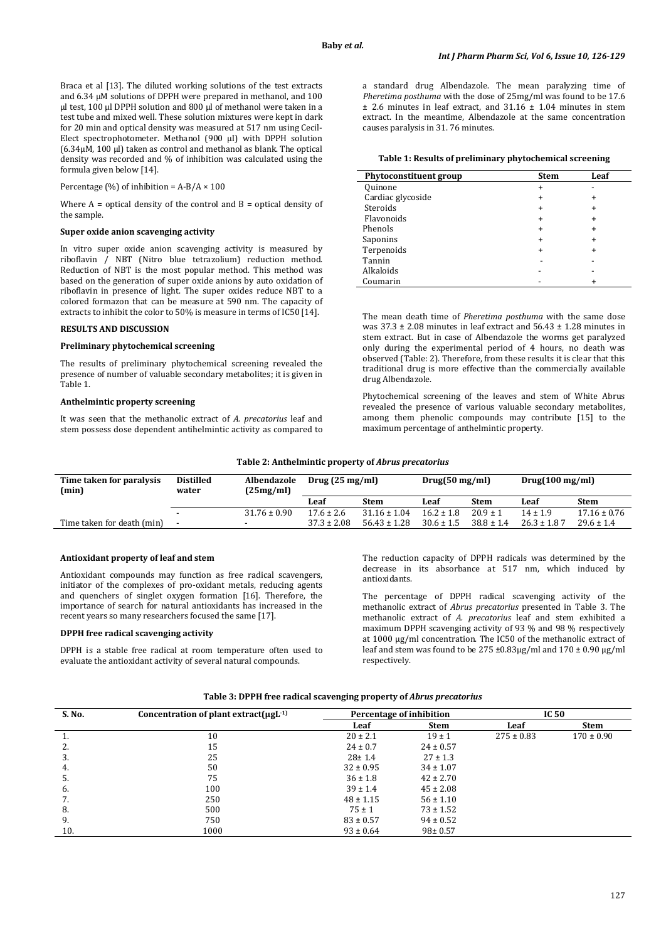Braca et al [13]. The diluted working solutions of the test extracts and 6.34 µM solutions of DPPH were prepared in methanol, and 100 µl test, 100 µl DPPH solution and 800 µl of methanol were taken in a test tube and mixed well. These solution mixtures were kept in dark for 20 min and optical density was measured at 517 nm using Cecil-Elect spectrophotometer. Methanol (900 µl) with DPPH solution (6.34µM, 100 µl) taken as control and methanol as blank. The optical density was recorded and % of inhibition was calculated using the formula given below [14].

#### Percentage (%) of inhibition =  $A-B/A \times 100$

Where  $A =$  optical density of the control and  $B =$  optical density of the sample.

# **Super oxide anion scavenging activity**

In vitro super oxide anion scavenging activity is measured by riboflavin / NBT (Nitro blue tetrazolium) reduction method. Reduction of NBT is the most popular method. This method was based on the generation of super oxide anions by auto oxidation of riboflavin in presence of light. The super oxides reduce NBT to a colored formazon that can be measure at 590 nm. The capacity of extracts to inhibit the color to 50% is measure in terms of IC50 [14].

#### **RESULTS AND DISCUSSION**

### **Preliminary phytochemical screening**

The results of preliminary phytochemical screening revealed the presence of number of valuable secondary metabolites; it is given in Table 1.

# **Anthelmintic property screening**

It was seen that the methanolic extract of *A. precatorius* leaf and stem possess dose dependent antihelmintic activity as compared to a standard drug Albendazole. The mean paralyzing time of *Pheretima posthuma* with the dose of 25mg/ml was found to be 17.6  $\pm$  2.6 minutes in leaf extract, and 31.16  $\pm$  1.04 minutes in stem extract. In the meantime, Albendazole at the same concentration causes paralysis in 31. 76 minutes.

| Phytoconstituent group | <b>Stem</b> | Leaf |
|------------------------|-------------|------|
| Ouinone                |             |      |
| Cardiac glycoside      |             |      |
| Steroids               | ÷           |      |
| Flavonoids             |             |      |
| Phenols                |             |      |
| Saponins               | ÷           |      |
| Terpenoids             |             |      |
| Tannin                 |             |      |
| Alkaloids              |             |      |
| Coumarin               |             |      |

The mean death time of *Pheretima posthuma* with the same dose was  $37.3 \pm 2.08$  minutes in leaf extract and  $56.43 \pm 1.28$  minutes in stem extract. But in case of Albendazole the worms get paralyzed only during the experimental period of 4 hours, no death was observed (Table: 2). Therefore, from these results it is clear that this traditional drug is more effective than the commercially available drug Albendazole.

Phytochemical screening of the leaves and stem of White Abrus revealed the presence of various valuable secondary metabolites, among them phenolic compounds may contribute [15] to the maximum percentage of anthelmintic property.

### **Table 2: Anthelmintic property of** *Abrus precatorius*

| Time taken for paralysis<br>(min) | <b>Distilled</b><br>water | Albendazole<br>(25mg/ml) | Drug(25 mg/ml)  |                  | Drug(50 mg/ml) |                | Drug(100 mg/ml) |                  |
|-----------------------------------|---------------------------|--------------------------|-----------------|------------------|----------------|----------------|-----------------|------------------|
|                                   |                           |                          | Leaf            | <b>Stem</b>      | Leaf           | <b>Stem</b>    | Leaf            | <b>Stem</b>      |
|                                   |                           | $31.76 \pm 0.90$         | $17.6 \pm 2.6$  | $31.16 \pm 1.04$ | $16.2 \pm 1.8$ | $20.9 \pm 1$   | $14 + 1.9$      | $17.16 \pm 0.76$ |
| Time taken for death (min)        |                           | $\overline{\phantom{a}}$ | $37.3 \pm 2.08$ | $56.43 \pm 1.28$ | $30.6 \pm 1.5$ | $38.8 \pm 1.4$ | $26.3 \pm 1.87$ | $29.6 \pm 1.4$   |

### **Antioxidant property of leaf and stem**

Antioxidant compounds may function as free radical scavengers, initiator of the complexes of pro-oxidant metals, reducing agents and quenchers of singlet oxygen formation [16]. Therefore, the importance of search for natural antioxidants has increased in the recent years so many researchers focused the same [17].

### **DPPH free radical scavenging activity**

DPPH is a stable free radical at room temperature often used to evaluate the antioxidant activity of several natural compounds.

The reduction capacity of DPPH radicals was determined by the decrease in its absorbance at 517 nm, which induced by antioxidants.

The percentage of DPPH radical scavenging activity of the methanolic extract of *Abrus precatorius* presented in Table 3. The methanolic extract of *A. precatorius* leaf and stem exhibited a maximum DPPH scavenging activity of 93 % and 98 % respectively at 1000 μg/ml concentration. The IC50 of the methanolic extract of leaf and stem was found to be  $275 \pm 0.83 \mu$ g/ml and  $170 \pm 0.90 \mu$ g/ml respectively.

| Table 3: DPPH free radical scavenging property of Abrus precatorius |  |  |
|---------------------------------------------------------------------|--|--|
|---------------------------------------------------------------------|--|--|

| S. No. | Concentration of plant extract $(\mu g L^{-1})$ | Percentage of inhibition |               | <b>IC 50</b>   |                |  |
|--------|-------------------------------------------------|--------------------------|---------------|----------------|----------------|--|
|        |                                                 | Leaf                     | <b>Stem</b>   | Leaf           | <b>Stem</b>    |  |
|        | 10                                              | $20 \pm 2.1$             | $19 \pm 1$    | $275 \pm 0.83$ | $170 \pm 0.90$ |  |
| 2.     | 15                                              | $24 \pm 0.7$             | $24 \pm 0.57$ |                |                |  |
| 3.     | 25                                              | $28 \pm 1.4$             | $27 \pm 1.3$  |                |                |  |
| 4.     | 50                                              | $32 \pm 0.95$            | $34 \pm 1.07$ |                |                |  |
| 5.     | 75                                              | $36 \pm 1.8$             | $42 \pm 2.70$ |                |                |  |
| 6.     | 100                                             | $39 \pm 1.4$             | $45 \pm 2.08$ |                |                |  |
| 7.     | 250                                             | $48 \pm 1.15$            | $56 \pm 1.10$ |                |                |  |
| 8.     | 500                                             | $75 \pm 1$               | $73 \pm 1.52$ |                |                |  |
| 9.     | 750                                             | $83 \pm 0.57$            | $94 \pm 0.52$ |                |                |  |
| 10.    | 1000                                            | $93 \pm 0.64$            | $98 \pm 0.57$ |                |                |  |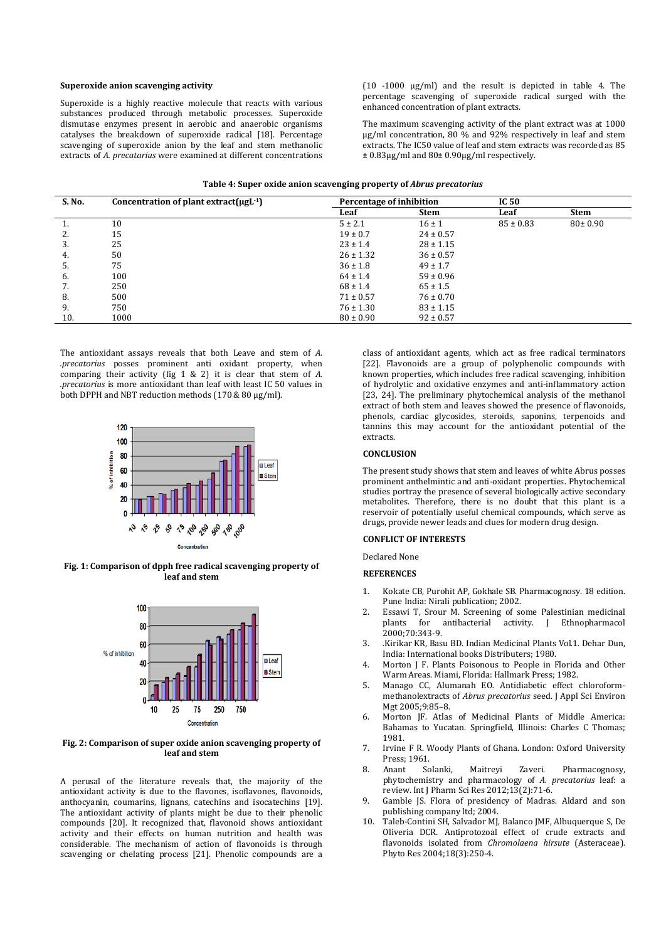### **Superoxide anion scavenging activity**

Superoxide is a highly reactive molecule that reacts with various substances produced through metabolic processes. Superoxide dismutase enzymes present in aerobic and anaerobic organisms catalyses the breakdown of superoxide radical [18]. Percentage scavenging of superoxide anion by the leaf and stem methanolic extracts of *A. precatarius* were examined at different concentrations

(10 -1000 μg/ml) and the result is depicted in table 4. The percentage scavenging of superoxide radical surged with the enhanced concentration of plant extracts.

The maximum scavenging activity of the plant extract was at 1000 μg/ml concentration, 80 % and 92% respectively in leaf and stem extracts. The IC50 value of leaf and stem extracts was recorded as 85 ± 0.83μg/ml and 80± 0.90μg/ml respectively.

|  | Table 4: Super oxide anion scavenging property of Abrus precatorius |  |
|--|---------------------------------------------------------------------|--|
|  |                                                                     |  |

| S. No. | Concentration of plant extract( $\mu$ gL <sup>-1</sup> ) | Percentage of inhibition |               | IC 50         |               |
|--------|----------------------------------------------------------|--------------------------|---------------|---------------|---------------|
|        |                                                          | Leaf                     | <b>Stem</b>   | Leaf          | <b>Stem</b>   |
| ı.     | 10                                                       | $5 \pm 2.1$              | $16 \pm 1$    | $85 \pm 0.83$ | $80 \pm 0.90$ |
| 2.     | 15                                                       | $19 \pm 0.7$             | $24 \pm 0.57$ |               |               |
| 3.     | 25                                                       | $23 \pm 1.4$             | $28 \pm 1.15$ |               |               |
| 4.     | 50                                                       | $26 \pm 1.32$            | $36 \pm 0.57$ |               |               |
| 5.     | 75                                                       | $36 \pm 1.8$             | $49 \pm 1.7$  |               |               |
| 6.     | 100                                                      | $64 \pm 1.4$             | $59 \pm 0.96$ |               |               |
| 7.     | 250                                                      | $68 \pm 1.4$             | $65 \pm 1.5$  |               |               |
| 8.     | 500                                                      | $71 \pm 0.57$            | $76 \pm 0.70$ |               |               |
| 9.     | 750                                                      | $76 \pm 1.30$            | $83 \pm 1.15$ |               |               |
| 10.    | 1000                                                     | $80 \pm 0.90$            | $92 \pm 0.57$ |               |               |

The antioxidant assays reveals that both Leave and stem of *A. .precatorius* posses prominent anti oxidant property, when comparing their activity (fig 1 & 2) it is clear that stem of *A. .precatorius* is more antioxidant than leaf with least IC 50 values in both DPPH and NBT reduction methods (170 & 80 μg/ml).



**Fig. 1: Comparison of dpph free radical scavenging property of** 

**leaf and stem**



# **Fig. 2: Comparison of super oxide anion scavenging property of leaf and stem**

A perusal of the literature reveals that, the majority of the antioxidant activity is due to the flavones, isoflavones, flavonoids, anthocyanin, coumarins, lignans, catechins and isocatechins [19]. The antioxidant activity of plants might be due to their phenolic compounds [20]. It recognized that, flavonoid shows antioxidant activity and their effects on human nutrition and health was considerable. The mechanism of action of flavonoids is through scavenging or chelating process [21]. Phenolic compounds are a

class of antioxidant agents, which act as free radical terminators [22]. Flavonoids are a group of polyphenolic compounds with known properties, which includes free radical scavenging, inhibition of hydrolytic and oxidative enzymes and anti-inflammatory action [23, 24]. The preliminary phytochemical analysis of the methanol extract of both stem and leaves showed the presence of flavonoids, phenols, cardiac glycosides, steroids, saponins, terpenoids and tannins this may account for the antioxidant potential of the extracts.

#### **CONCLUSION**

The present study shows that stem and leaves of white Abrus posses prominent anthelmintic and anti-oxidant properties. Phytochemical studies portray the presence of several biologically active secondary metabolites. Therefore, there is no doubt that this plant is a reservoir of potentially useful chemical compounds, which serve as drugs, provide newer leads and clues for modern drug design.

#### **CONFLICT OF INTERESTS**

Declared None

# **REFERENCES**

- 1. Kokate CB, Purohit AP, Gokhale SB. Pharmacognosy. 18 edition. Pune India: Nirali publication; 2002.
- 2. Essawi T, Srour M. Screening of some Palestinian medicinal plants for antibacterial activity. J Ethnopharmacol 2000;70:343-9.
- 3. .Kirikar KR, Basu BD. Indian Medicinal Plants Vol.1. Dehar Dun, India: International books Distributers; 1980.
- 4. Morton J F. Plants Poisonous to People in Florida and Other Warm Areas. Miami, Florida: Hallmark Press; 1982.
- 5. Manago CC, Alumanah EO. Antidiabetic effect chloroformmethanolextracts of *Abrus precatorius* seed. J Appl Sci Environ Mgt 2005;9:85–8.
- 6. Morton JF. Atlas of Medicinal Plants of Middle America: Bahamas to Yucatan. Springfield, Illinois: Charles C Thomas; 1981.
- 7. Irvine F R. Woody Plants of Ghana. London: Oxford University Press; 1961.<br>Anant Solanki.
- 8. Anant Solanki, Maitreyi Zaveri. Pharmacognosy, phytochemistry and pharmacology of *A. precatorius* leaf: a review. Int J Pharm Sci Res 2012;13(2):71-6.
- 9. Gamble JS. Flora of presidency of Madras. Aldard and son publishing company ltd; 2004.
- 10. Taleb-Contini SH, Salvador MJ, Balanco JMF, Albuquerque S, De Oliveria DCR. Antiprotozoal effect of crude extracts and flavonoids isolated from *Chromolaena hirsute* (Asteraceae). Phyto Res 2004;18(3):250-4.